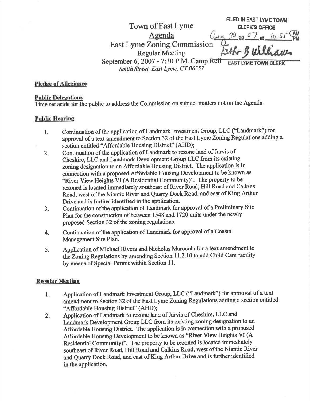FILED IN EAST LYME TOWN Town of East Lyme<br>Agenda ( $\mu$ , $\infty$  or  $\sigma$  a. ( $\circ$ ,5)  $\sigma$   $\sim$  AM<br>Agenda ( $\mu$ , $\infty$   $\sigma$   $\sigma$ )  $\alpha$ . ( $\circ$ ,5)  $\sigma$ East Lyme Zoning Commission Esth Builliau September 6, 2007 - 7:30 P.M. Camp Rell Smith Street, East Lyme, CT 06357

### Pledge of Allegiance

#### **Public Delegations**

Time set aside for the public to address the Commission on subject matters not on the Agenda.

#### Public Hearine

- l. Continuation of the application of Landmark Investnent Group, LLC (\*Landmark") for approval of a text amendment to Section 32 of the East Lyme Zoning Regulations adding a section entitled "Affordable Housing District" (AHD);
- 2. Continuation of the application of Landmark to rezone land of Jarvis of Cheshire, LLC and Landmark Development Group LLC from its existing zoning designation to an Affordable Housing District. The application is in connection with a proposed Affordable Housing Development to be known as "River View Heights VI (A Residential Community)". The property to be rezoned is located immediately southeast of River Road, Hill Road and Calkins Road, west of the Niantic River and Quarry Dock Road, and east of King Arthur Drive and is further identified in the application.
- 3. Continuation of the application of Landmark for approval of a Preliminary Site Plan for the construction of between 1548 and 1720 units under the newly proposed Section 32 of the zoning regulations.
- 4. Continuation of the application of Landmark for approval of a Coastal Management Site Plan.
- 5. Application of Michael Rivera and Nicholas Marocolafor atext amendment to the Zoning Regulations by amending Section 11.2.10 to add Child Care facility by means of Special Permit within Section 11.

# **Regular Meeting**

- Application of Landmark Investment Group, LLC ('Landmark') for approval of atext amendment to Section 32 of the East Lyme Zoning Regulations adding a section entitled \*Affordable Housing Distict" (AHD); I
- Application of Landmark to rezone land of Jarvis of Cheshire, LLC and Landmark Development Group LLC from its existing zoning designation to an Affordable Housing District. The application is in connection with a proposed Affordable Housing Development to be known as "River View Heights VI (A Residential Community)". The property to be rezoned is located immediately southeast of River Road, Hill Road and Calkins Roa4 west of the Niantic River and Quarry Dock Road, and east of King Arthur Drive and is further identified in the application.  $2.$